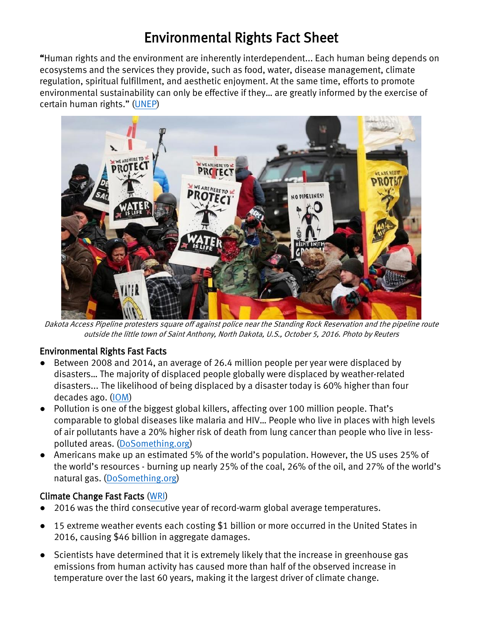# Environmental Rights Fact Sheet

"Human rights and the environment are inherently interdependent... Each human being depends on ecosystems and the services they provide, such as food, water, disease management, climate regulation, spiritual fulfillment, and aesthetic enjoyment. At the same time, efforts to promote environmental sustainability can only be effective if they… are greatly informed by the exercise of certain human rights." [\(UNEP\)](http://wedocs.unep.org/bitstream/handle/20.500.11822/9943/UNEP_Compendium_HRE.pdf?sequence=1&isAllowed=y)



Dakota Access Pipeline protesters square off against police near the Standing Rock Reservation and the pipeline route outside the little town of Saint Anthony, North Dakota, U.S., October 5, 2016. Photo by Reuters

#### Environmental Rights Fast Facts

- Between 2008 and 2014, an average of 26.4 million people per year were displaced by disasters… The majority of displaced people globally were displaced by weather-related disasters... The likelihood of being displaced by a disaster today is 60% higher than four decades ago. [\(IOM\)](http://gmdac.iom.int/global-migration-trends-factsheet)
- Pollution is one of the biggest global killers, affecting over 100 million people. That's comparable to global diseases like malaria and HIV… People who live in places with high levels of air pollutants have a 20% higher risk of death from lung cancer than people who live in lesspolluted areas. [\(DoSomething.org\)](https://www.dosomething.org/us/facts/11-facts-about-pollution)
- Americans make up an estimated 5% of the world's population. However, the US uses 25% of the world's resources - burning up nearly 25% of the coal, 26% of the oil, and 27% of the world's natural gas. [\(DoSomething.org\)](https://www.dosomething.org/us/facts/11-facts-about-pollution)

#### Climate Change Fast Facts [\(WRI\)](http://www.wri.org/blog/2017/01/4-irrefutable-truths-about-climate-change-science)

- 2016 was the third consecutive year of record-warm global average temperatures.
- 15 extreme weather events each costing \$1 billion or more [occurred](https://www.ncdc.noaa.gov/billions/events) in the United States in 2016, causing \$46 billion in aggregate damages.
- Scientists have determined that it is [extremely](http://www.ipcc.ch/pdf/assessment-report/ar5/wg1/WG1AR5_Chapter10_FINAL.pdf) likely that the increase in greenhouse gas emissions from human activity has caused more than half of the observed increase in temperature over the last 60 years, making it the largest driver of climate change.